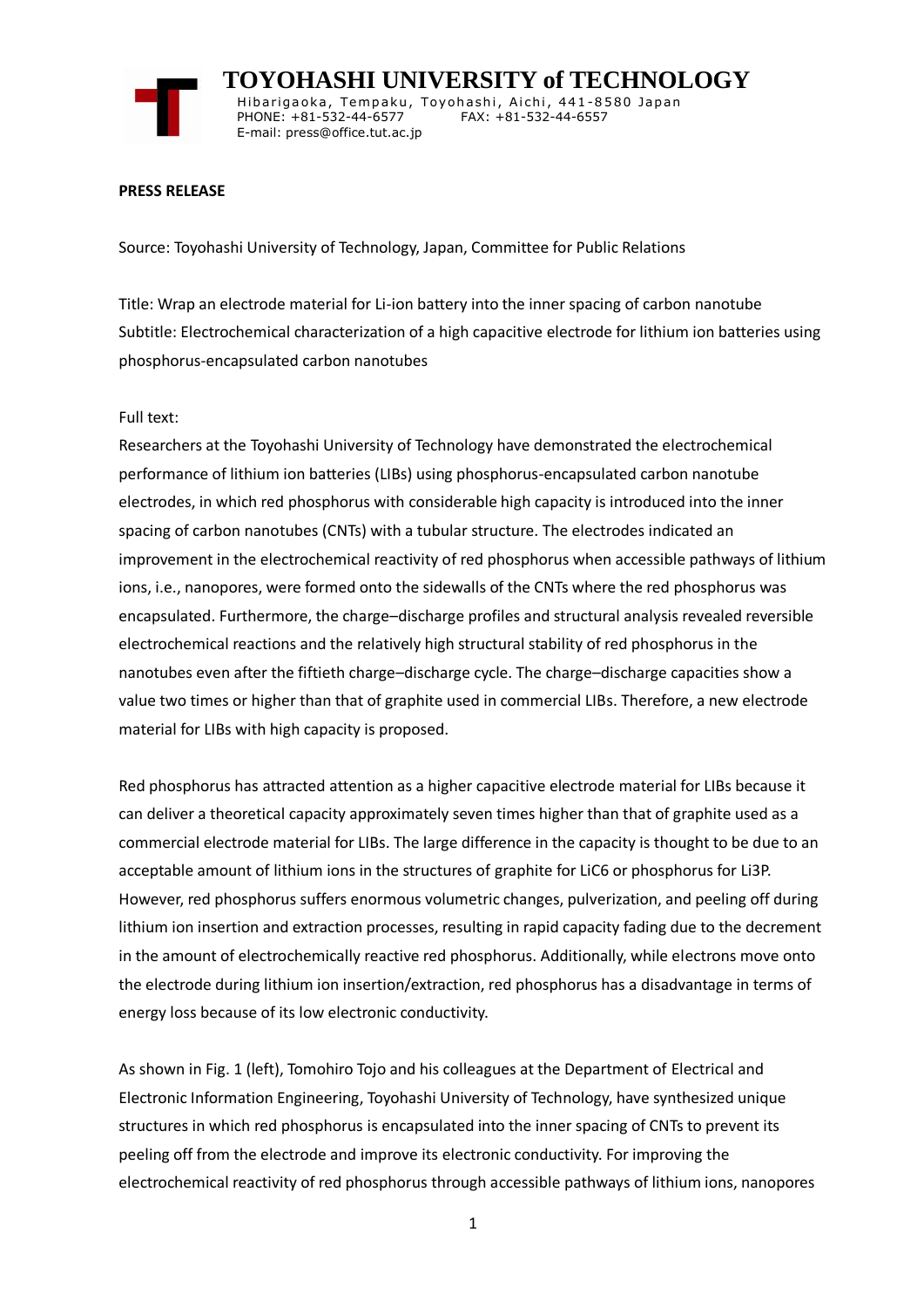

 **TOYOHASHI UNIVERSITY of TECHNOLOGY** Hibarigaoka, Tempaku, Toyohashi, Aichi, 441-8580 Japan PHONE: +81-532-44-6577 FAX: +81-532-44-6557 E-mail: press@office.tut.ac.jp

### **PRESS RELEASE**

Source: Toyohashi University of Technology, Japan, Committee for Public Relations

Title: Wrap an electrode material for Li-ion battery into the inner spacing of carbon nanotube Subtitle: Electrochemical characterization of a high capacitive electrode for lithium ion batteries using phosphorus-encapsulated carbon nanotubes

### Full text:

Researchers at the Toyohashi University of Technology have demonstrated the electrochemical performance of lithium ion batteries (LIBs) using phosphorus-encapsulated carbon nanotube electrodes, in which red phosphorus with considerable high capacity is introduced into the inner spacing of carbon nanotubes (CNTs) with a tubular structure. The electrodes indicated an improvement in the electrochemical reactivity of red phosphorus when accessible pathways of lithium ions, i.e., nanopores, were formed onto the sidewalls of the CNTs where the red phosphorus was encapsulated. Furthermore, the charge–discharge profiles and structural analysis revealed reversible electrochemical reactions and the relatively high structural stability of red phosphorus in the nanotubes even after the fiftieth charge–discharge cycle. The charge–discharge capacities show a value two times or higher than that of graphite used in commercial LIBs. Therefore, a new electrode material for LIBs with high capacity is proposed.

Red phosphorus has attracted attention as a higher capacitive electrode material for LIBs because it can deliver a theoretical capacity approximately seven times higher than that of graphite used as a commercial electrode material for LIBs. The large difference in the capacity is thought to be due to an acceptable amount of lithium ions in the structures of graphite for LiC6 or phosphorus for Li3P. However, red phosphorus suffers enormous volumetric changes, pulverization, and peeling off during lithium ion insertion and extraction processes, resulting in rapid capacity fading due to the decrement in the amount of electrochemically reactive red phosphorus. Additionally, while electrons move onto the electrode during lithium ion insertion/extraction, red phosphorus has a disadvantage in terms of energy loss because of its low electronic conductivity.

As shown in Fig. 1 (left), Tomohiro Tojo and his colleagues at the Department of Electrical and Electronic Information Engineering, Toyohashi University of Technology, have synthesized unique structures in which red phosphorus is encapsulated into the inner spacing of CNTs to prevent its peeling off from the electrode and improve its electronic conductivity. For improving the electrochemical reactivity of red phosphorus through accessible pathways of lithium ions, nanopores

1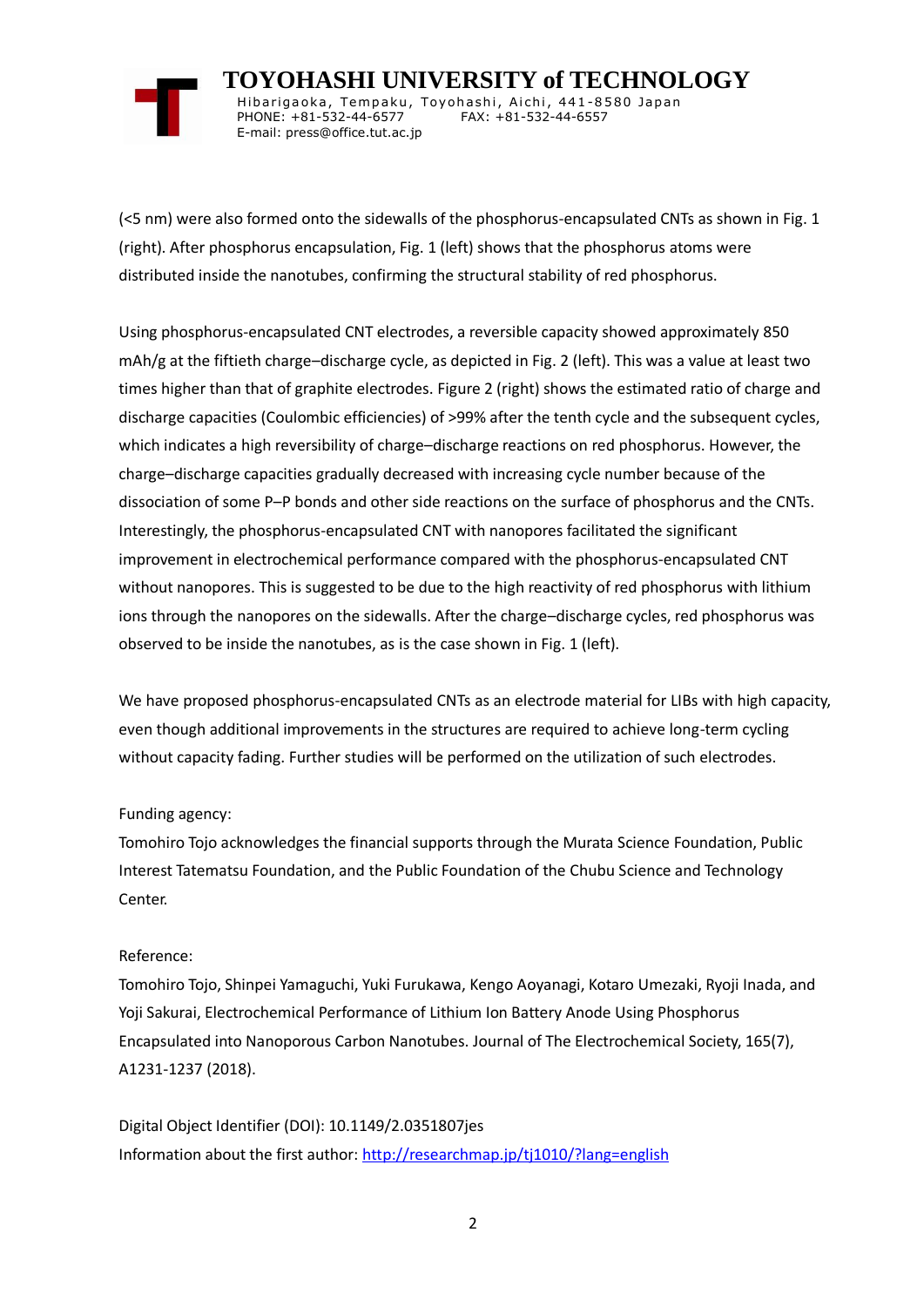

 **TOYOHASHI UNIVERSITY of TECHNOLOGY** Hibarigaoka, Tempaku, Toyohashi, Aichi, 441-8580 Japan PHONE: +81-532-44-6577 FAX: +81-532-44-6557 E-mail: press@office.tut.ac.jp

(<5 nm) were also formed onto the sidewalls of the phosphorus-encapsulated CNTs as shown in Fig. 1 (right). After phosphorus encapsulation, Fig. 1 (left) shows that the phosphorus atoms were distributed inside the nanotubes, confirming the structural stability of red phosphorus.

Using phosphorus-encapsulated CNT electrodes, a reversible capacity showed approximately 850 mAh/g at the fiftieth charge–discharge cycle, as depicted in Fig. 2 (left). This was a value at least two times higher than that of graphite electrodes. Figure 2 (right) shows the estimated ratio of charge and discharge capacities (Coulombic efficiencies) of >99% after the tenth cycle and the subsequent cycles, which indicates a high reversibility of charge–discharge reactions on red phosphorus. However, the charge–discharge capacities gradually decreased with increasing cycle number because of the dissociation of some P–P bonds and other side reactions on the surface of phosphorus and the CNTs. Interestingly, the phosphorus-encapsulated CNT with nanopores facilitated the significant improvement in electrochemical performance compared with the phosphorus-encapsulated CNT without nanopores. This is suggested to be due to the high reactivity of red phosphorus with lithium ions through the nanopores on the sidewalls. After the charge–discharge cycles, red phosphorus was observed to be inside the nanotubes, as is the case shown in Fig. 1 (left).

We have proposed phosphorus-encapsulated CNTs as an electrode material for LIBs with high capacity, even though additional improvements in the structures are required to achieve long-term cycling without capacity fading. Further studies will be performed on the utilization of such electrodes.

# Funding agency:

Tomohiro Tojo acknowledges the financial supports through the Murata Science Foundation, Public Interest Tatematsu Foundation, and the Public Foundation of the Chubu Science and Technology Center.

# Reference:

Tomohiro Tojo, Shinpei Yamaguchi, Yuki Furukawa, Kengo Aoyanagi, Kotaro Umezaki, Ryoji Inada, and Yoji Sakurai, Electrochemical Performance of Lithium Ion Battery Anode Using Phosphorus Encapsulated into Nanoporous Carbon Nanotubes. Journal of The Electrochemical Society, 165(7), A1231-1237 (2018).

Digital Object Identifier (DOI): 10.1149/2.0351807jes Information about the first author:<http://researchmap.jp/tj1010/?lang=english>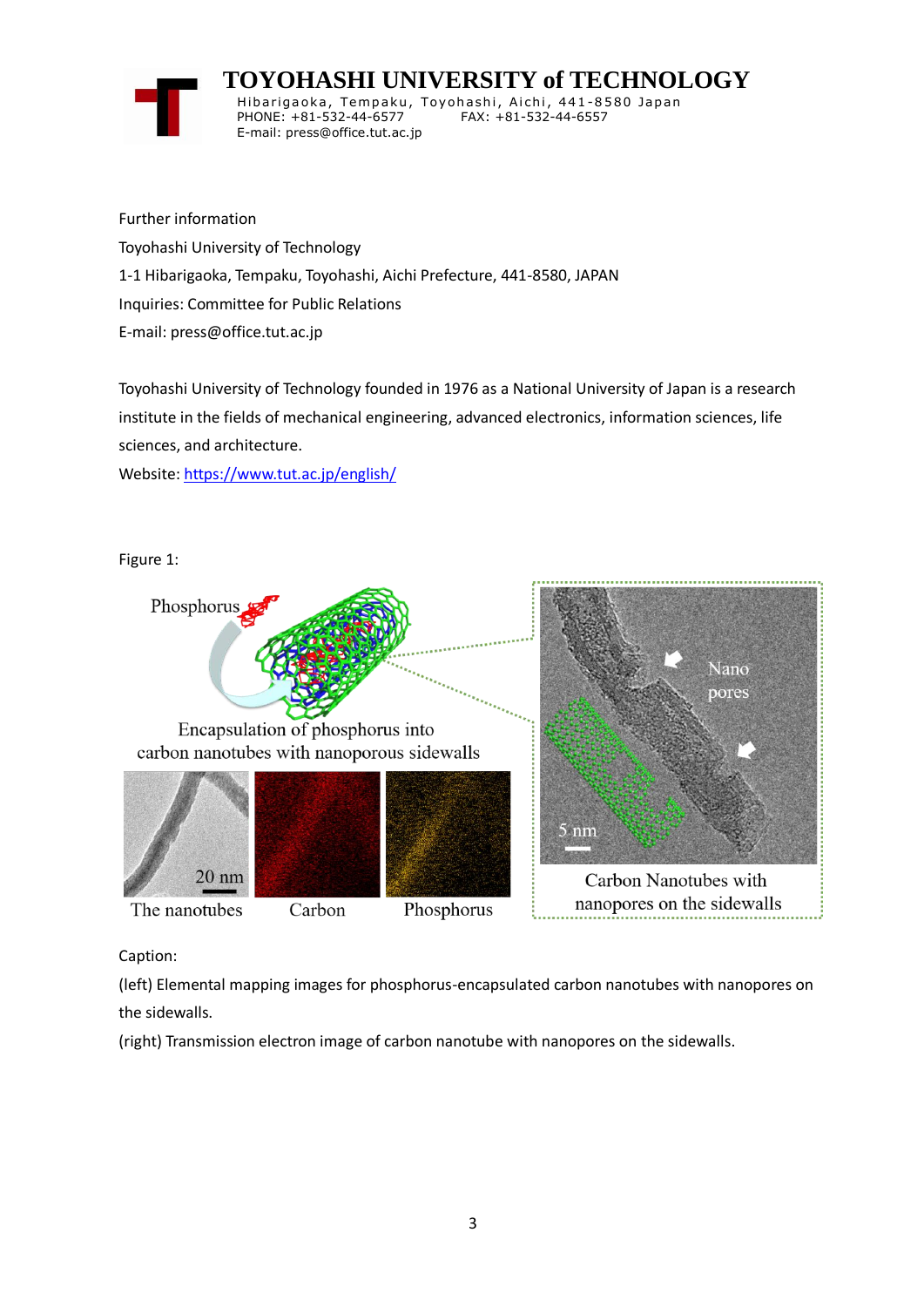# **TOYOHASHI UNIVERSITY of TECHNOLOGY**



Hibarigaoka, Tempaku, Toyohashi, Aichi, 441-8580 Japan PHONE: +81-532-44-6577 FAX: +81-532-44-6557 E-mail: press@office.tut.ac.jp

Further information Toyohashi University of Technology 1-1 Hibarigaoka, Tempaku, Toyohashi, Aichi Prefecture, 441-8580, JAPAN Inquiries: Committee for Public Relations E-mail: press@office.tut.ac.jp

Toyohashi University of Technology founded in 1976 as a National University of Japan is a research institute in the fields of mechanical engineering, advanced electronics, information sciences, life sciences, and architecture.

Website[: https://www.tut.ac.jp/english/](https://www.tut.ac.jp/english/)

Figure 1:



Caption:

(left) Elemental mapping images for phosphorus-encapsulated carbon nanotubes with nanopores on the sidewalls.

(right) Transmission electron image of carbon nanotube with nanopores on the sidewalls.